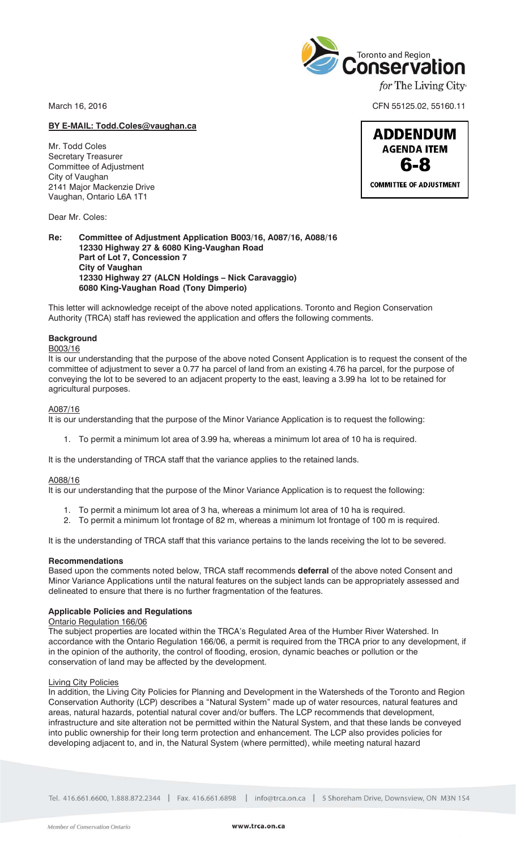March 16, 2016 CFN 55125.02, 55160.11

## **BY E-MAIL: Todd.Coles@vaughan.ca**

Mr. Todd Coles Secretary Treasurer Committee of Adjustment City of Vaughan 2141 Major Mackenzie Drive Vaughan, Ontario L6A 1T1

Dear Mr. Coles:

## **Re: Committee of Adjustment Application B003/16, A087/16, A088/16 12330 Highway 27 & 6080 King-Vaughan Road Part of Lot 7, Concession 7 City of Vaughan 12330 Highway 27 (ALCN Holdings – Nick Caravaggio) 6080 King-Vaughan Road (Tony Dimperio)**

This letter will acknowledge receipt of the above noted applications. Toronto and Region Conservation Authority (TRCA) staff has reviewed the application and offers the following comments.

## **Background**

## B003/16

It is our understanding that the purpose of the above noted Consent Application is to request the consent of the committee of adjustment to sever a 0.77 ha parcel of land from an existing 4.76 ha parcel, for the purpose of conveying the lot to be severed to an adjacent property to the east, leaving a 3.99 ha lot to be retained for agricultural purposes.

## A087/16

It is our understanding that the purpose of the Minor Variance Application is to request the following:

1. To permit a minimum lot area of 3.99 ha, whereas a minimum lot area of 10 ha is required.

It is the understanding of TRCA staff that the variance applies to the retained lands.

## A088/16

It is our understanding that the purpose of the Minor Variance Application is to request the following:

- 1. To permit a minimum lot area of 3 ha, whereas a minimum lot area of 10 ha is required.
- 2. To permit a minimum lot frontage of 82 m, whereas a minimum lot frontage of 100 m is required.

It is the understanding of TRCA staff that this variance pertains to the lands receiving the lot to be severed.

## **Recommendations**

Based upon the comments noted below, TRCA staff recommends **deferral** of the above noted Consent and Minor Variance Applications until the natural features on the subject lands can be appropriately assessed and delineated to ensure that there is no further fragmentation of the features.

## **Applicable Policies and Regulations**

# Ontario Regulation 166/06

The subject properties are located within the TRCA's Regulated Area of the Humber River Watershed. In accordance with the Ontario Regulation 166/06, a permit is required from the TRCA prior to any development, if in the opinion of the authority, the control of flooding, erosion, dynamic beaches or pollution or the conservation of land may be affected by the development.

## Living City Policies

In addition, the Living City Policies for Planning and Development in the Watersheds of the Toronto and Region Conservation Authority (LCP) describes a "Natural System" made up of water resources, natural features and areas, natural hazards, potential natural cover and/or buffers. The LCP recommends that development, infrastructure and site alteration not be permitted within the Natural System, and that these lands be conveyed into public ownership for their long term protection and enhancement. The LCP also provides policies for developing adjacent to, and in, the Natural System (where permitted), while meeting natural hazard